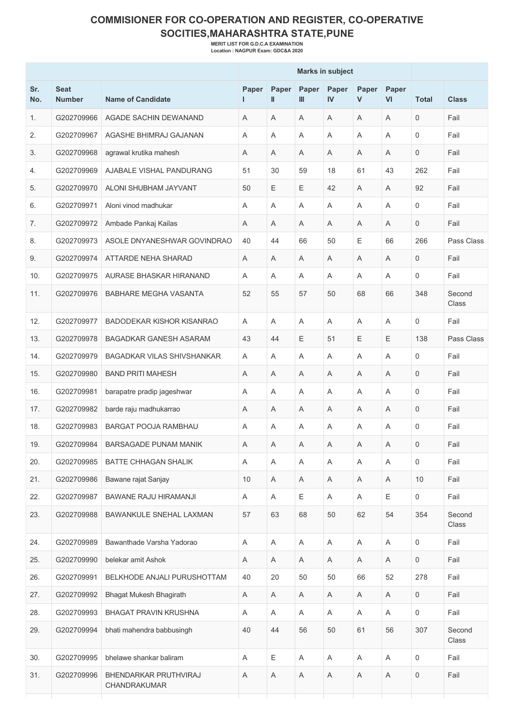## **COMMISIONER FOR CO-OPERATION AND REGISTER, CO-OPERATIVE SOCITIES,MAHARASHTRA STATE,PUNE**

**MERIT LIST FOR G.D.C.A EXAMINATION Location : NAGPUR Exam: GDC&A 2020**

| Sr.<br>No. | <b>Seat</b><br><b>Number</b> | <b>Name of Candidate</b>              | Paper<br>ı | Paper<br>Ш | Paper<br>$\mathbf{m}$     | Paper<br>IV               | Paper<br>V  | Paper<br>VI | <b>Total</b>        | <b>Class</b>    |
|------------|------------------------------|---------------------------------------|------------|------------|---------------------------|---------------------------|-------------|-------------|---------------------|-----------------|
| 1.         | G202709966                   | AGADE SACHIN DEWANAND                 | A          | A          | A                         | $\overline{A}$            | A           | Α           | $\mathbf 0$         | Fail            |
| 2.         | G202709967                   | AGASHE BHIMRAJ GAJANAN                | A          | A          | Α                         | A                         | A           | A           | 0                   | Fail            |
| 3.         | G202709968                   | agrawal krutika mahesh                | A          | A          | A                         | A                         | A           | A           | 0                   | Fail            |
| 4.         | G202709969                   | AJABALE VISHAL PANDURANG              | 51         | 30         | 59                        | 18                        | 61          | 43          | 262                 | Fail            |
| 5.         | G202709970                   | ALONI SHUBHAM JAYVANT                 | 50         | E          | Ε                         | 42                        | A           | A           | 92                  | Fail            |
| 6.         | G202709971                   | Aloni vinod madhukar                  | Α          | A          | A                         | $\overline{A}$            | A           | A           | 0                   | Fail            |
| 7.         | G202709972                   | Ambade Pankaj Kailas                  | Α          | Α          | A                         | A                         | Α           | Α           | $\mathbf 0$         | Fail            |
| 8.         | G202709973                   | ASOLE DNYANESHWAR GOVINDRAO           | 40         | 44         | 66                        | 50                        | Ε           | 66          | 266                 | Pass Class      |
| 9.         | G202709974                   | <b>ATTARDE NEHA SHARAD</b>            | A          | A          | A                         | A                         | A           | A           | 0                   | Fail            |
| 10.        | G202709975                   | AURASE BHASKAR HIRANAND               | A          | A          | A                         | A                         | A           | Α           | 0                   | Fail            |
| 11.        | G202709976                   | <b>BABHARE MEGHA VASANTA</b>          | 52         | 55         | 57                        | 50                        | 68          | 66          | 348                 | Second<br>Class |
| 12.        | G202709977                   | BADODEKAR KISHOR KISANRAO             | A          | A          | A                         | $\overline{A}$            | A           | Α           | 0                   | Fail            |
| 13.        | G202709978                   | BAGADKAR GANESH ASARAM                | 43         | 44         | Ε                         | 51                        | E           | $\mathsf E$ | 138                 | Pass Class      |
| 14.        | G202709979                   | <b>BAGADKAR VILAS SHIVSHANKAR</b>     | A          | A          | A                         | A                         | A           | Α           | $\mathbf 0$         | Fail            |
| 15.        | G202709980                   | <b>BAND PRITI MAHESH</b>              | Α          | Α          | Α                         | A                         | Α           | Α           | 0                   | Fail            |
| 16.        | G202709981                   | barapatre pradip jageshwar            | Α          | A          | A                         | $\overline{A}$            | A           | A           | 0                   | Fail            |
| 17.        | G202709982                   | barde raju madhukarrao                | Α          | Α          | A                         | A                         | Α           | Α           | 0                   | Fail            |
| 18.        | G202709983                   | BARGAT POOJA RAMBHAU                  | A          | Α          | Α                         | A                         | A           | Α           | 0                   | Fail            |
| 19.        | G202709984                   | BARSAGADE PUNAM MANIK                 | Α          | Α          | Α                         | A                         | A           | Α           | $\mathbf 0$         | Fail            |
| 20.        | G202709985                   | <b>BATTE CHHAGAN SHALIK</b>           | Α          | Α          | Α                         | Α                         | Α           | Α           | 0                   | Fail            |
| 21.        | G202709986                   | Bawane rajat Sanjay                   | 10         | A          | A                         | A                         | A           | A           | 10                  | Fail            |
| 22.        | G202709987                   | <b>BAWANE RAJU HIRAMANJI</b>          | A          | Α          | Ε                         | A                         | A           | E           | 0                   | Fail            |
| 23.        | G202709988                   | BAWANKULE SNEHAL LAXMAN               | 57         | 63         | 68                        | 50                        | 62          | 54          | 354                 | Second<br>Class |
| 24.        | G202709989                   | Bawanthade Varsha Yadorao             | A          | A          | $\boldsymbol{\mathsf{A}}$ | $\mathsf A$               | $\mathsf A$ | $\mathsf A$ | $\mathbf 0$         | Fail            |
| 25.        | G202709990                   | belekar amit Ashok                    | Α          | A          | Α                         | A                         | Α           | A           | 0                   | Fail            |
| 26.        | G202709991                   | BELKHODE ANJALI PURUSHOTTAM           | 40         | 20         | 50                        | 50                        | 66          | 52          | 278                 | Fail            |
| 27.        | G202709992                   | <b>Bhagat Mukesh Bhagirath</b>        | A          | Α          | $\boldsymbol{\mathsf{A}}$ | $\boldsymbol{\mathsf{A}}$ | A           | Α           | $\mathsf{O}\xspace$ | Fail            |
| 28.        | G202709993                   | <b>BHAGAT PRAVIN KRUSHNA</b>          | A          | Α          | Α                         | Α                         | A           | A           | $\mathbf 0$         | Fail            |
| 29.        | G202709994                   | bhati mahendra babbusingh             | 40         | 44         | 56                        | 50                        | 61          | 56          | 307                 | Second<br>Class |
| 30.        | G202709995                   | bhelawe shankar baliram               | A          | E          | A                         | A                         | A           | A           | $\mathsf{O}\xspace$ | Fail            |
| 31.        | G202709996                   | BHENDARKAR PRUTHVIRAJ<br>CHANDRAKUMAR | Α          | A          | A                         | Α                         | Α           | Α           | 0                   | Fail            |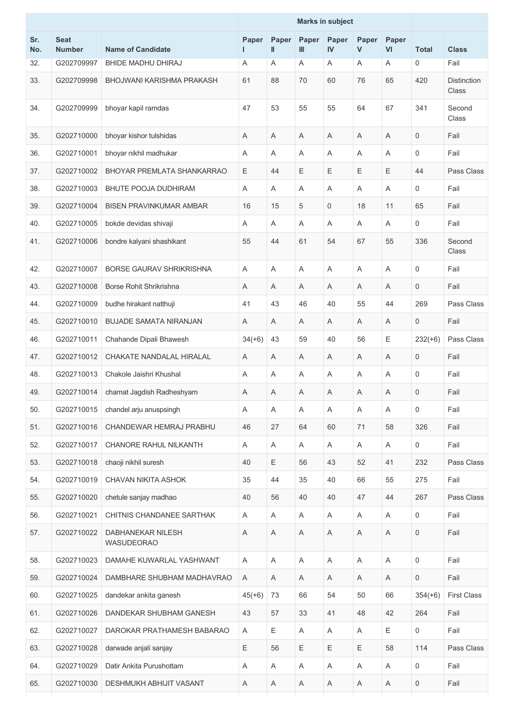| Sr.<br>No. | <b>Seat</b><br><b>Number</b> | <b>Name of Candidate</b>               | Paper<br>L | Paper<br>Ш  | Paper<br>III | Paper<br>$\mathbf{N}$ | Paper<br>$\mathsf{V}$ | Paper<br>VI | <b>Total</b>        | <b>Class</b>                |
|------------|------------------------------|----------------------------------------|------------|-------------|--------------|-----------------------|-----------------------|-------------|---------------------|-----------------------------|
| 32.        | G202709997                   | BHIDE MADHU DHIRAJ                     | Α          | Α           | A            | A                     | Α                     | Α           | 0                   | Fail                        |
| 33.        | G202709998                   | BHOJWANI KARISHMA PRAKASH              | 61         | 88          | 70           | 60                    | 76                    | 65          | 420                 | <b>Distinction</b><br>Class |
| 34.        | G202709999                   | bhoyar kapil ramdas                    | 47         | 53          | 55           | 55                    | 64                    | 67          | 341                 | Second<br>Class             |
| 35.        | G202710000                   | bhoyar kishor tulshidas                | A          | A           | A            | A                     | Α                     | Α           | $\mathbf 0$         | Fail                        |
| 36.        | G202710001                   | bhoyar nikhil madhukar                 | Α          | Α           | A            | A                     | A                     | Α           | $\mathbf 0$         | Fail                        |
| 37.        | G202710002                   | BHOYAR PREMLATA SHANKARRAO             | Е          | 44          | Ε            | Ε                     | E                     | Е           | 44                  | Pass Class                  |
| 38.        | G202710003                   | <b>BHUTE POOJA DUDHIRAM</b>            | A          | A           | A            | Α                     | Α                     | Α           | 0                   | Fail                        |
| 39.        | G202710004                   | <b>BISEN PRAVINKUMAR AMBAR</b>         | 16         | 15          | 5            | 0                     | 18                    | 11          | 65                  | Fail                        |
| 40.        | G202710005                   | bokde devidas shivaji                  | A          | A           | A            | A                     | A                     | Α           | 0                   | Fail                        |
| 41.        | G202710006                   | bondre kalyani shashikant              | 55         | 44          | 61           | 54                    | 67                    | 55          | 336                 | Second<br>Class             |
| 42.        | G202710007                   | <b>BORSE GAURAV SHRIKRISHNA</b>        | Α          | A           | A            | A                     | A                     | A           | $\mathsf 0$         | Fail                        |
| 43.        | G202710008                   | Borse Rohit Shrikrishna                | A          | A           | A            | A                     | A                     | Α           | $\mathbf 0$         | Fail                        |
| 44.        | G202710009                   | budhe hirakant natthuji                | 41         | 43          | 46           | 40                    | 55                    | 44          | 269                 | Pass Class                  |
| 45.        | G202710010                   | <b>BUJADE SAMATA NIRANJAN</b>          | A          | A           | A            | Α                     | A                     | A           | 0                   | Fail                        |
| 46.        | G202710011                   | Chahande Dipali Bhawesh                | $34(+6)$   | 43          | 59           | 40                    | 56                    | Ε           | $232(+6)$           | Pass Class                  |
| 47.        | G202710012                   | CHAKATE NANDALAL HIRALAL               | Α          | A           | A            | A                     | A                     | $\mathsf A$ | $\mathsf{O}\xspace$ | Fail                        |
| 48.        | G202710013                   | Chakole Jaishri Khushal                | A          | Α           | A            | A                     | Α                     | Α           | 0                   | Fail                        |
| 49.        | G202710014                   | chamat Jagdish Radheshyam              | Α          | Α           | Α            | Α                     | A                     | Α           | $\mathsf 0$         | Fail                        |
| 50.        | G202710015                   | chandel arju anuspsingh                | Α          | Α           | Α            | Α                     | Α                     | Α           | 0                   | Fail                        |
| 51.        | G202710016                   | CHANDEWAR HEMRAJ PRABHU                | 46         | 27          | 64           | 60                    | 71                    | 58          | 326                 | Fail                        |
| 52.        | G202710017                   | CHANORE RAHUL NILKANTH                 | Α          | A           | A            | A                     | Α                     | Α           | $\mathbf 0$         | Fail                        |
| 53.        | G202710018                   | chaoji nikhil suresh                   | 40         | Ε           | 56           | 43                    | 52                    | 41          | 232                 | Pass Class                  |
| 54.        | G202710019                   | CHAVAN NIKITA ASHOK                    | 35         | 44          | 35           | 40                    | 66                    | 55          | 275                 | Fail                        |
| 55.        | G202710020                   | chetule sanjay madhao                  | 40         | 56          | 40           | 40                    | 47                    | 44          | 267                 | Pass Class                  |
| 56.        | G202710021                   | CHITNIS CHANDANEE SARTHAK              | A          | Α           | A            | Α                     | A                     | Α           | $\mathbf 0$         | Fail                        |
| 57.        | G202710022                   | DABHANEKAR NILESH<br><b>WASUDEORAO</b> | Α          | Α           | Α            | Α                     | Α                     | Α           | $\mathsf{O}\xspace$ | Fail                        |
| 58.        | G202710023                   | DAMAHE KUWARLAL YASHWANT               | Α          | A           | A            | Α                     | A                     | Α           | $\mathbf 0$         | Fail                        |
| 59.        | G202710024                   | DAMBHARE SHUBHAM MADHAVRAO             | Α          | A           | A            | A                     | Α                     | Α           | $\mathsf{O}\xspace$ | Fail                        |
| 60.        | G202710025                   | dandekar ankita ganesh                 | $45(+6)$   | 73          | 66           | 54                    | 50                    | 66          | $354(+6)$           | <b>First Class</b>          |
| 61.        | G202710026                   | DANDEKAR SHUBHAM GANESH                | 43         | 57          | 33           | 41                    | 48                    | 42          | 264                 | Fail                        |
| 62.        | G202710027                   | DAROKAR PRATHAMESH BABARAO             | A          | $\mathsf E$ | A            | A                     | A                     | Е           | $\mathsf{O}\xspace$ | Fail                        |
| 63.        | G202710028                   | darwade anjali sanjay                  | Ε          | 56          | Е            | Е                     | Ε                     | 58          | 114                 | Pass Class                  |
| 64.        | G202710029                   | Datir Ankita Purushottam               | Α          | Α           | A            | Α                     | Α                     | Α           | $\mathbf 0$         | Fail                        |
| 65.        | G202710030                   | DESHMUKH ABHIJIT VASANT                | Α          | Α           | Α            | Α                     | A                     | Α           | $\mathsf 0$         | Fail                        |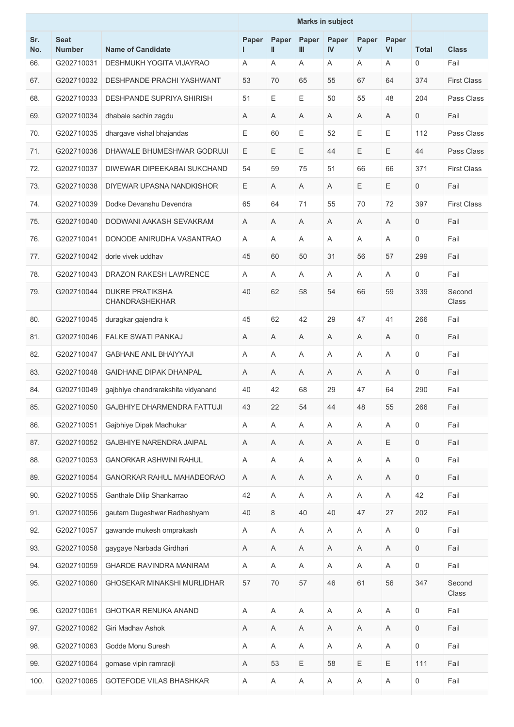|            |                              |                                          |            | <b>Marks in subject</b> |              |             |                       |                |              |                    |
|------------|------------------------------|------------------------------------------|------------|-------------------------|--------------|-------------|-----------------------|----------------|--------------|--------------------|
| Sr.<br>No. | <b>Seat</b><br><b>Number</b> | <b>Name of Candidate</b>                 | Paper<br>L | Paper<br>Ш              | Paper<br>Ш   | Paper<br>IV | Paper<br>$\mathsf{V}$ | Paper<br>VI    | <b>Total</b> | <b>Class</b>       |
| 66.        | G202710031                   | DESHMUKH YOGITA VIJAYRAO                 | Α          | Α                       | Α            | Α           | A                     | A              | 0            | Fail               |
| 67.        | G202710032                   | <b>DESHPANDE PRACHI YASHWANT</b>         | 53         | 70                      | 65           | 55          | 67                    | 64             | 374          | <b>First Class</b> |
| 68.        | G202710033                   | <b>DESHPANDE SUPRIYA SHIRISH</b>         | 51         | Ε                       | E            | 50          | 55                    | 48             | 204          | Pass Class         |
| 69.        | G202710034                   | dhabale sachin zagdu                     | Α          | A                       | A            | A           | Α                     | A              | 0            | Fail               |
| 70.        | G202710035                   | dhargave vishal bhajandas                | Е          | 60                      | $\mathsf E$  | 52          | E                     | Ε              | 112          | Pass Class         |
| 71.        | G202710036                   | DHAWALE BHUMESHWAR GODRUJI               | E          | E                       | E            | 44          | E                     | Е              | 44           | Pass Class         |
| 72.        | G202710037                   | DIWEWAR DIPEEKABAI SUKCHAND              | 54         | 59                      | 75           | 51          | 66                    | 66             | 371          | <b>First Class</b> |
| 73.        | G202710038                   | DIYEWAR UPASNA NANDKISHOR                | E.         | Α                       | Α            | A           | Ε                     | E              | $\mathbf 0$  | Fail               |
| 74.        | G202710039                   | Dodke Devanshu Devendra                  | 65         | 64                      | 71           | 55          | 70                    | 72             | 397          | <b>First Class</b> |
| 75.        | G202710040                   | DODWANI AAKASH SEVAKRAM                  | A          | A                       | A            | A           | A                     | A              | $\mathbf 0$  | Fail               |
| 76.        | G202710041                   | DONODE ANIRUDHA VASANTRAO                | Α          | Α                       | A            | Α           | A                     | A              | 0            | Fail               |
| 77.        | G202710042                   | dorle vivek uddhav                       | 45         | 60                      | 50           | 31          | 56                    | 57             | 299          | Fail               |
| 78.        | G202710043                   | DRAZON RAKESH LAWRENCE                   | A          | A                       | A            | A           | Α                     | A              | 0            | Fail               |
| 79.        | G202710044                   | <b>DUKRE PRATIKSHA</b><br>CHANDRASHEKHAR | 40         | 62                      | 58           | 54          | 66                    | 59             | 339          | Second<br>Class    |
| 80.        | G202710045                   | duragkar gajendra k                      | 45         | 62                      | 42           | 29          | 47                    | 41             | 266          | Fail               |
| 81.        | G202710046                   | <b>FALKE SWATI PANKAJ</b>                | Α          | Α                       | A            | Α           | Α                     | A              | 0            | Fail               |
| 82.        | G202710047                   | <b>GABHANE ANIL BHAIYYAJI</b>            | A          | Α                       | A            | A           | Α                     | A              | 0            | Fail               |
| 83.        | G202710048                   | <b>GAIDHANE DIPAK DHANPAL</b>            | Α          | Α                       | A            | Α           | Α                     | A              | $\mathbf 0$  | Fail               |
| 84.        | G202710049                   | gajbhiye chandrarakshita vidyanand       | 40         | 42                      | 68           | 29          | 47                    | 64             | 290          | Fail               |
| 85.        | G202710050                   | GAJBHIYE DHARMENDRA FATTUJI              | 43         | 22                      | 54           | 44          | 48                    | 55             | 266          | Fail               |
| 86.        | G202710051                   | Gajbhiye Dipak Madhukar                  | A          | Α                       | A            | Α           | Α                     | A              | 0            | Fail               |
| 87.        | G202710052                   | GAJBHIYE NARENDRA JAIPAL                 | A          | Α                       | A            | A           | Α                     | Ε              | 0            | Fail               |
| 88.        | G202710053                   | <b>GANORKAR ASHWINI RAHUL</b>            | Α          | A                       | Α            | Α           | Α                     | $\overline{A}$ | 0            | Fail               |
| 89.        | G202710054                   | <b>GANORKAR RAHUL MAHADEORAO</b>         | Α          | Α                       | Α            | Α           | Α                     | Α              | 0            | Fail               |
| 90.        | G202710055                   | Ganthale Dilip Shankarrao                | 42         | Α                       | Α            | A           | Α                     | A              | 42           | Fail               |
| 91.        | G202710056                   | gautam Dugeshwar Radheshyam              | 40         | 8                       | 40           | 40          | 47                    | 27             | 202          | Fail               |
| 92.        | G202710057                   | gawande mukesh omprakash                 | Α          | Α                       | Α            | Α           | A                     | Α              | 0            | Fail               |
| 93.        | G202710058                   | gaygaye Narbada Girdhari                 | A          | Α                       | Α            | A           | Α                     | A              | 0            | Fail               |
| 94.        | G202710059                   | <b>GHARDE RAVINDRA MANIRAM</b>           | A          | A                       | Α            | A           | A                     | A              | 0            | Fail               |
| 95.        | G202710060                   | GHOSEKAR MINAKSHI MURLIDHAR              | 57         | 70                      | 57           | 46          | 61                    | 56             | 347          | Second<br>Class    |
| 96.        | G202710061                   | GHOTKAR RENUKA ANAND                     | Α          | A                       | A            | A           | Α                     | A              | 0            | Fail               |
| 97.        | G202710062                   | Giri Madhav Ashok                        | Α          | A                       | Α            | Α           | Α                     | Α              | 0            | Fail               |
| 98.        | G202710063                   | Godde Monu Suresh                        | A          | A                       | Α            | A           | Α                     | A              | 0            | Fail               |
| 99.        | G202710064                   | gomase vipin ramraoji                    | Α          | 53                      | Ε            | 58          | Ε                     | Ε              | 111          | Fail               |
| 100.       | G202710065                   | GOTEFODE VILAS BHASHKAR                  | Α          | A                       | $\mathsf{A}$ | Α           | Α                     | A              | 0            | Fail               |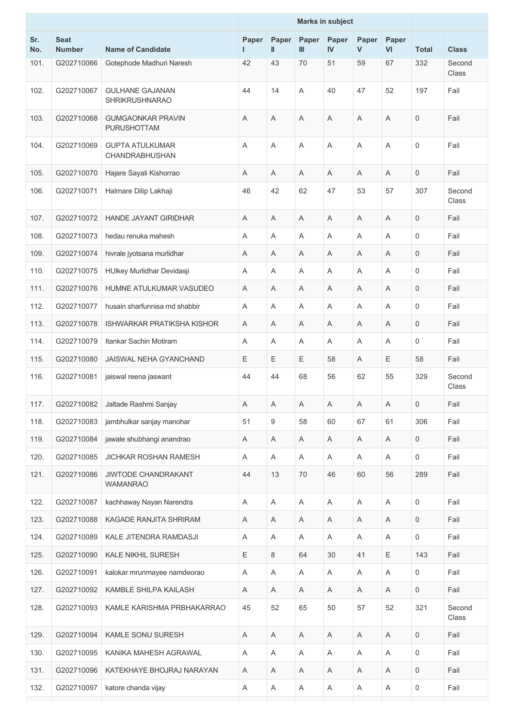|            |                              |                                                 |             |             |                           | <b>Marks in subject</b> |                |                           |                     |                 |
|------------|------------------------------|-------------------------------------------------|-------------|-------------|---------------------------|-------------------------|----------------|---------------------------|---------------------|-----------------|
| Sr.<br>No. | <b>Seat</b><br><b>Number</b> | <b>Name of Candidate</b>                        | Paper<br>L  | Paper<br>Ш  | Paper<br>$\mathbf{m}$     | Paper<br>IV             | Paper<br>V     | Paper<br>VI               | <b>Total</b>        | <b>Class</b>    |
| 101.       | G202710066                   | Gotephode Madhuri Naresh                        | 42          | 43          | 70                        | 51                      | 59             | 67                        | 332                 | Second<br>Class |
| 102.       | G202710067                   | <b>GULHANE GAJANAN</b><br><b>SHRIKRUSHNARAO</b> | 44          | 14          | A                         | 40                      | 47             | 52                        | 197                 | Fail            |
| 103.       | G202710068                   | <b>GUMGAONKAR PRAVIN</b><br>PURUSHOTTAM         | A           | A           | A                         | A                       | A              | A                         | $\mathbf 0$         | Fail            |
| 104.       | G202710069                   | <b>GUPTA ATULKUMAR</b><br>CHANDRABHUSHAN        | A           | A           | A                         | A                       | $\overline{A}$ | A                         | $\mathsf{O}\xspace$ | Fail            |
| 105.       | G202710070                   | Hajare Sayali Kishorrao                         | Α           | Α           | A                         | A                       | A              | A                         | $\mathbf 0$         | Fail            |
| 106.       | G202710071                   | Halmare Dilip Lakhaji                           | 46          | 42          | 62                        | 47                      | 53             | 57                        | 307                 | Second<br>Class |
| 107.       | G202710072                   | <b>HANDE JAYANT GIRIDHAR</b>                    | A           | Α           | A                         | A                       | Α              | A                         | $\mathbf 0$         | Fail            |
| 108.       | G202710073                   | hedau renuka mahesh                             | A           | Α           | A                         | A                       | Α              | A                         | 0                   | Fail            |
| 109.       | G202710074                   | hivrale jyotsana murlidhar                      | A           | Α           | A                         | A                       | Α              | A                         | $\mathbf 0$         | Fail            |
| 110.       | G202710075                   | HUlkey Murlidhar Devidasji                      | Α           | Α           | Α                         | Α                       | Α              | Α                         | 0                   | Fail            |
| 111.       | G202710076                   | HUMNE ATULKUMAR VASUDEO                         | A           | Α           | Α                         | A                       | Α              | A                         | 0                   | Fail            |
| 112.       | G202710077                   | husain sharfunnisa md shabbir                   | A           | Α           | Α                         | A                       | A              | A                         | 0                   | Fail            |
| 113.       | G202710078                   | <b>ISHWARKAR PRATIKSHA KISHOR</b>               | A           | A           | A                         | A                       | A              | A                         | $\mathsf{O}\xspace$ | Fail            |
| 114.       | G202710079                   | Itankar Sachin Motiram                          | A           | A           | A                         | A                       | A              | A                         | $\mathbf 0$         | Fail            |
| 115.       | G202710080                   | JAISWAL NEHA GYANCHAND                          | E           | Ε           | Ε                         | 58                      | Α              | Ε                         | 58                  | Fail            |
| 116.       | G202710081                   | jaiswal reena jaswant                           | 44          | 44          | 68                        | 56                      | 62             | 55                        | 329                 | Second<br>Class |
| 117.       | G202710082                   | Jaltade Rashmi Sanjay                           | $\mathsf A$ | $\mathsf A$ | A                         | $\mathsf{A}$            | $\mathsf A$    | $\mathsf{A}$              | $\mathsf{O}\xspace$ | Fail            |
| 118.       | G202710083                   | jambhulkar sanjay manohar                       | 51          | 9           | 58                        | 60                      | 67             | 61                        | 306                 | Fail            |
| 119.       | G202710084                   | jawale shubhangi anandrao                       | Α           | A           | A                         | A                       | Α              | $\boldsymbol{\mathsf{A}}$ | $\mathsf{O}\xspace$ | Fail            |
| 120.       | G202710085                   | JICHKAR ROSHAN RAMESH                           | Α           | A           | Α                         | A                       | A              | $\boldsymbol{\mathsf{A}}$ | 0                   | Fail            |
| 121.       | G202710086                   | JIWTODE CHANDRAKANT<br><b>WAMANRAO</b>          | 44          | 13          | 70                        | 46                      | 60             | 56                        | 289                 | Fail            |
| 122.       | G202710087                   | kachhaway Nayan Narendra                        | A           | Α           | $\boldsymbol{\mathsf{A}}$ | A                       | Α              | $\mathsf A$               | $\mathsf{O}\xspace$ | Fail            |
| 123.       | G202710088                   | KAGADE RANJITA SHRIRAM                          | Α           | A           | Α                         | Α                       | A              | Α                         | $\mathbf 0$         | Fail            |
| 124.       | G202710089                   | KALE JITENDRA RAMDASJI                          | A           | Α           | $\boldsymbol{\mathsf{A}}$ | A                       | Α              | $\boldsymbol{\mathsf{A}}$ | $\mathsf{O}\xspace$ | Fail            |
| 125.       | G202710090                   | KALE NIKHIL SURESH                              | Е           | 8           | 64                        | 30                      | 41             | Ε                         | 143                 | Fail            |
| 126.       | G202710091                   | kalokar mrunmayee namdeorao                     | Α           | Α           | Α                         | A                       | A              | $\mathsf A$               | 0                   | Fail            |
| 127.       | G202710092                   | KAMBLE SHILPA KAILASH                           | Α           | A           | Α                         | Α                       | A              | $\boldsymbol{\mathsf{A}}$ | $\mathsf{O}\xspace$ | Fail            |
| 128.       | G202710093                   | KAMLE KARISHMA PRBHAKARRAO                      | 45          | 52          | 65                        | 50                      | 57             | 52                        | 321                 | Second<br>Class |
| 129.       | G202710094                   | <b>KAMLE SONU SURESH</b>                        | A           | Α           | A                         | Α                       | A              | A                         | $\boldsymbol{0}$    | Fail            |
| 130.       | G202710095                   | KANIKA MAHESH AGRAWAL                           | A           | Α           | A                         | A                       | Α              | A                         | $\mathsf{O}\xspace$ | Fail            |
| 131.       | G202710096                   | KATEKHAYE BHOJRAJ NARAYAN                       | Α           | A           | A                         | Α                       | Α              | Α                         | 0                   | Fail            |
| 132.       | G202710097                   | katore chanda vijay                             | Α           | A           | $\mathsf A$               | A                       | A              | $\boldsymbol{\mathsf{A}}$ | 0                   | Fail            |
|            |                              |                                                 |             |             |                           |                         |                |                           |                     |                 |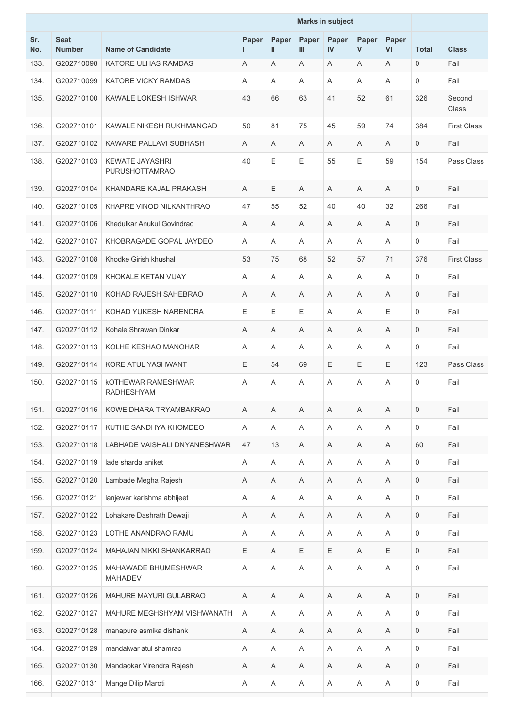|            |                              |                                                 |            | <b>Marks in subject</b> |                           |                       |            |             |                     |                    |
|------------|------------------------------|-------------------------------------------------|------------|-------------------------|---------------------------|-----------------------|------------|-------------|---------------------|--------------------|
| Sr.<br>No. | <b>Seat</b><br><b>Number</b> | <b>Name of Candidate</b>                        | Paper<br>L | Paper<br>Ш              | Paper<br>$\mathbf{m}$     | Paper<br>$\mathbf{N}$ | Paper<br>V | Paper<br>VI | <b>Total</b>        | <b>Class</b>       |
| 133.       | G202710098                   | KATORE ULHAS RAMDAS                             | Α          | Α                       | Α                         | A                     | Α          | A           | $\mathbf 0$         | Fail               |
| 134.       | G202710099                   | <b>KATORE VICKY RAMDAS</b>                      | A          | Α                       | Α                         | A                     | A          | A           | 0                   | Fail               |
| 135.       | G202710100                   | KAWALE LOKESH ISHWAR                            | 43         | 66                      | 63                        | 41                    | 52         | 61          | 326                 | Second<br>Class    |
| 136.       | G202710101                   | KAWALE NIKESH RUKHMANGAD                        | 50         | 81                      | 75                        | 45                    | 59         | 74          | 384                 | <b>First Class</b> |
| 137.       | G202710102                   | KAWARE PALLAVI SUBHASH                          | A          | Α                       | A                         | A                     | Α          | A           | 0                   | Fail               |
| 138.       | G202710103                   | <b>KEWATE JAYASHRI</b><br><b>PURUSHOTTAMRAO</b> | 40         | E                       | E                         | 55                    | E          | 59          | 154                 | Pass Class         |
| 139.       | G202710104                   | KHANDARE KAJAL PRAKASH                          | Α          | E                       | A                         | A                     | Α          | A           | $\mathbf 0$         | Fail               |
| 140.       | G202710105                   | KHAPRE VINOD NILKANTHRAO                        | 47         | 55                      | 52                        | 40                    | 40         | 32          | 266                 | Fail               |
| 141.       | G202710106                   | Khedulkar Anukul Govindrao                      | Α          | Α                       | Α                         | A                     | Α          | A           | 0                   | Fail               |
| 142.       | G202710107                   | KHOBRAGADE GOPAL JAYDEO                         | A          | Α                       | Α                         | A                     | A          | A           | $\mathbf 0$         | Fail               |
| 143.       | G202710108                   | Khodke Girish khushal                           | 53         | 75                      | 68                        | 52                    | 57         | 71          | 376                 | <b>First Class</b> |
| 144.       | G202710109                   | KHOKALE KETAN VIJAY                             | A          | Α                       | A                         | A                     | Α          | A           | 0                   | Fail               |
| 145.       | G202710110                   | KOHAD RAJESH SAHEBRAO                           | A          | A                       | A                         | A                     | A          | A           | $\mathbf 0$         | Fail               |
| 146.       | G202710111                   | KOHAD YUKESH NARENDRA                           | E          | E                       | Ε                         | A                     | Α          | Ε           | 0                   | Fail               |
| 147.       | G202710112                   | Kohale Shrawan Dinkar                           | A          | Α                       | A                         | A                     | A          | A           | $\mathbf 0$         | Fail               |
| 148.       | G202710113                   | KOLHE KESHAO MANOHAR                            | A          | A                       | A                         | A                     | A          | A           | $\mathbf 0$         | Fail               |
| 149.       | G202710114                   | KORE ATUL YASHWANT                              | E.         | 54                      | 69                        | Е                     | Е          | Ε           | 123                 | Pass Class         |
| 150.       | G202710115                   | <b>KOTHEWAR RAMESHWAR</b><br><b>RADHESHYAM</b>  | A          | Α                       | Α                         | A                     | A          | A           | $\mathbf 0$         | Fail               |
| 151.       | G202710116                   | KOWE DHARA TRYAMBAKRAO                          | Α          | Α                       | Α                         | Α                     | Α          | Α           | 0                   | Fail               |
| 152.       | G202710117                   | KUTHE SANDHYA KHOMDEO                           | A          | Α                       | A                         | A                     | Α          | A           | $\mathsf{O}\xspace$ | Fail               |
| 153.       | G202710118                   | LABHADE VAISHALI DNYANESHWAR                    | 47         | 13                      | $\boldsymbol{\mathsf{A}}$ | A                     | Α          | $\mathsf A$ | 60                  | Fail               |
| 154.       | G202710119                   | lade sharda aniket                              | A          | A                       | Α                         | A                     | Α          | A           | 0                   | Fail               |
| 155.       | G202710120                   | Lambade Megha Rajesh                            | Α          | Α                       | Α                         | A                     | Α          | $\mathsf A$ | 0                   | Fail               |
| 156.       | G202710121                   | lanjewar karishma abhijeet                      | Α          | Α                       | A                         | A                     | Α          | A           | 0                   | Fail               |
| 157.       | G202710122                   | Lohakare Dashrath Dewaji                        | Α          | Α                       | A                         | A                     | Α          | Α           | $\mathbf 0$         | Fail               |
| 158.       | G202710123                   | LOTHE ANANDRAO RAMU                             | A          | Α                       | Α                         | A                     | Α          | $\mathsf A$ | 0                   | Fail               |
| 159.       | G202710124                   | MAHAJAN NIKKI SHANKARRAO                        | Ε          | A                       | Ε                         | Ε                     | A          | Ε           | 0                   | Fail               |
| 160.       | G202710125                   | MAHAWADE BHUMESHWAR<br><b>MAHADEV</b>           | Α          | Α                       | $\mathsf A$               | $\mathsf A$           | Α          | $\mathsf A$ | 0                   | Fail               |
| 161.       | G202710126                   | MAHURE MAYURI GULABRAO                          | A          | Α                       | $\overline{\mathsf{A}}$   | A                     | Α          | A           | $\mathsf{O}\xspace$ | Fail               |
| 162.       | G202710127                   | MAHURE MEGHSHYAM VISHWANATH                     | A          | Α                       | Α                         | Α                     | Α          | Α           | 0                   | Fail               |
| 163.       | G202710128                   | manapure asmika dishank                         | Α          | Α                       | Α                         | A                     | Α          | A           | $\mathbf 0$         | Fail               |
| 164.       | G202710129                   | mandalwar atul shamrao                          | Α          | Α                       | Α                         | Α                     | Α          | Α           | 0                   | Fail               |
| 165.       | G202710130                   | Mandaokar Virendra Rajesh                       | Α          | Α                       | A                         | Α                     | Α          | A           | $\mathbf 0$         | Fail               |
| 166.       | G202710131                   | Mange Dilip Maroti                              | Α          | A                       | Α                         | Α                     | Α          | Α           | 0                   | Fail               |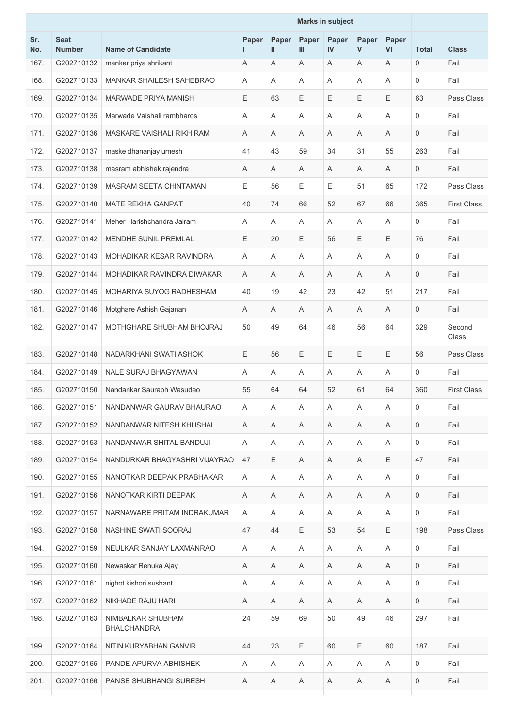|            |                              |                                         |       | <b>Marks in subject</b> |              |                |            |             |              |                    |
|------------|------------------------------|-----------------------------------------|-------|-------------------------|--------------|----------------|------------|-------------|--------------|--------------------|
| Sr.<br>No. | <b>Seat</b><br><b>Number</b> | <b>Name of Candidate</b>                | Paper | Paper<br>$\mathbf{I}$   | Paper<br>III | Paper<br>IV    | Paper<br>V | Paper<br>VI | <b>Total</b> | <b>Class</b>       |
| 167.       | G202710132                   | mankar priya shrikant                   | Α     | Α                       | Α            | Α              | Α          | A           | 0            | Fail               |
| 168.       | G202710133                   | <b>MANKAR SHAILESH SAHEBRAO</b>         | A     | A                       | Α            | A              | Α          | A           | 0            | Fail               |
| 169.       | G202710134                   | MARWADE PRIYA MANISH                    | Е     | 63                      | Ε            | Ε              | Ε          | Ε           | 63           | Pass Class         |
| 170.       | G202710135                   | Marwade Vaishali rambharos              | A     | A                       | A            | A              | Α          | A           | $\mathbf 0$  | Fail               |
| 171.       | G202710136                   | MASKARE VAISHALI RIKHIRAM               | A     | A                       | A            | Α              | Α          | A           | 0            | Fail               |
| 172.       | G202710137                   | maske dhananjay umesh                   | 41    | 43                      | 59           | 34             | 31         | 55          | 263          | Fail               |
| 173.       | G202710138                   | masram abhishek rajendra                | Α     | A                       | A            | A              | Α          | A           | 0            | Fail               |
| 174.       | G202710139                   | <b>MASRAM SEETA CHINTAMAN</b>           | Ε     | 56                      | Ε            | Ε              | 51         | 65          | 172          | Pass Class         |
| 175.       | G202710140                   | <b>MATE REKHA GANPAT</b>                | 40    | 74                      | 66           | 52             | 67         | 66          | 365          | <b>First Class</b> |
| 176.       | G202710141                   | Meher Harishchandra Jairam              | A     | A                       | A            | $\overline{A}$ | A          | A           | $\mathbf 0$  | Fail               |
| 177.       | G202710142                   | MENDHE SUNIL PREMLAL                    | Е     | 20                      | Ε            | 56             | Ε          | $\mathsf E$ | 76           | Fail               |
| 178.       | G202710143                   | MOHADIKAR KESAR RAVINDRA                | Α     | A                       | Α            | A              | Α          | A           | 0            | Fail               |
| 179.       | G202710144                   | MOHADIKAR RAVINDRA DIWAKAR              | Α     | A                       | A            | Α              | A          | A           | 0            | Fail               |
| 180.       | G202710145                   | MOHARIYA SUYOG RADHESHAM                | 40    | 19                      | 42           | 23             | 42         | 51          | 217          | Fail               |
| 181.       | G202710146                   | Motghare Ashish Gajanan                 | Α     | A                       | A            | A              | A          | A           | 0            | Fail               |
| 182.       | G202710147                   | MOTHGHARE SHUBHAM BHOJRAJ               | 50    | 49                      | 64           | 46             | 56         | 64          | 329          | Second<br>Class    |
| 183.       | G202710148                   | NADARKHANI SWATI ASHOK                  | Е     | 56                      | Е            | $\mathsf E$    | Ε          | $\mathsf E$ | 56           | Pass Class         |
| 184.       | G202710149                   | NALE SURAJ BHAGYAWAN                    | Α     | A                       | A            | Α              | Α          | A           | 0            | Fail               |
| 185.       | G202710150                   | Nandankar Saurabh Wasudeo               | 55    | 64                      | 64           | 52             | 61         | 64          | 360          | <b>First Class</b> |
| 186.       | G202710151                   | NANDANWAR GAURAV BHAURAO                | A     | Α                       | A            | A              | Α          | Α           | 0            | Fail               |
| 187.       | G202710152                   | NANDANWAR NITESH KHUSHAL                | A     | Α                       | A            | Α              | A          | A           | 0            | Fail               |
| 188.       | G202710153                   | NANDANWAR SHITAL BANDUJI                | A     | A                       | A            | A              | Α          | A           | 0            | Fail               |
| 189.       | G202710154                   | NANDURKAR BHAGYASHRI VIJAYRAO           | 47    | Ε                       | A            | Α              | A          | Ε           | 47           | Fail               |
| 190.       | G202710155                   | NANOTKAR DEEPAK PRABHAKAR               | A     | A                       | A            | Α              | A          | Α           | 0            | Fail               |
| 191.       | G202710156                   | NANOTKAR KIRTI DEEPAK                   | A     | A                       | A            | Α              | Α          | A           | 0            | Fail               |
| 192.       | G202710157                   | NARNAWARE PRITAM INDRAKUMAR             | A     | A                       | A            | Α              | A          | A           | 0            | Fail               |
| 193.       | G202710158                   | NASHINE SWATI SOORAJ                    | 47    | 44                      | Ε            | 53             | 54         | $\mathsf E$ | 198          | Pass Class         |
| 194.       | G202710159                   | NEULKAR SANJAY LAXMANRAO                | A     | A                       | A            | A              | A          | A           | 0            | Fail               |
| 195.       | G202710160                   | Newaskar Renuka Ajay                    | A     | A                       | A            | Α              | A          | Α           | 0            | Fail               |
| 196.       | G202710161                   | nighot kishori sushant                  | A     | A                       | Α            | A              | Α          | Α           | 0            | Fail               |
| 197.       | G202710162                   | NIKHADE RAJU HARI                       | Α     | A                       | A            | A              | A          | A           | 0            | Fail               |
| 198.       | G202710163                   | NIMBALKAR SHUBHAM<br><b>BHALCHANDRA</b> | 24    | 59                      | 69           | 50             | 49         | 46          | 297          | Fail               |
| 199.       | G202710164                   | NITIN KURYABHAN GANVIR                  | 44    | 23                      | Ε            | 60             | E          | 60          | 187          | Fail               |
| 200.       | G202710165                   | PANDE APURVA ABHISHEK                   | A     | A                       | A            | A              | A          | A           | 0            | Fail               |
| 201.       | G202710166                   | PANSE SHUBHANGI SURESH                  | Α     | Α                       | Α            | A              | Α          | A           | 0            | Fail               |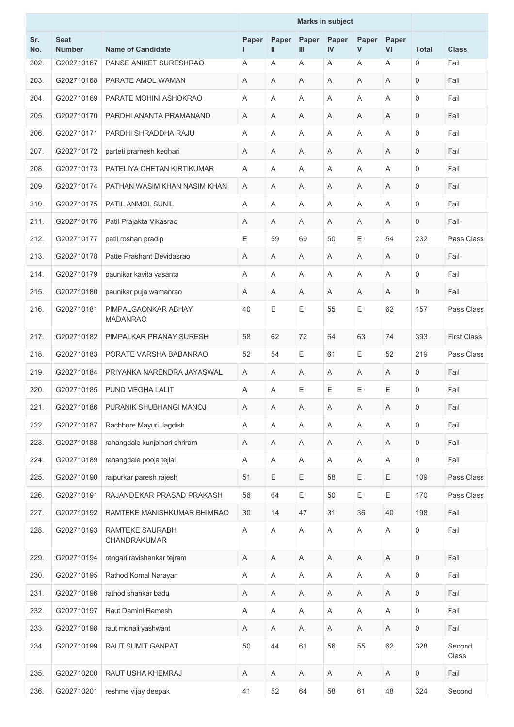|            |                              |                                        | <b>Marks in subject</b> |             |                              |             |            |                    |                     |                    |
|------------|------------------------------|----------------------------------------|-------------------------|-------------|------------------------------|-------------|------------|--------------------|---------------------|--------------------|
| Sr.<br>No. | <b>Seat</b><br><b>Number</b> | <b>Name of Candidate</b>               | Paper<br>L.             | Paper<br>Ш  | <b>Paper</b><br>$\mathbf{m}$ | Paper<br>IV | Paper<br>V | Paper<br><b>VI</b> | <b>Total</b>        | <b>Class</b>       |
| 202.       | G202710167                   | PANSE ANIKET SURESHRAO                 | Α                       | A           | Α                            | A           | Α          | Α                  | 0                   | Fail               |
| 203.       | G202710168                   | PARATE AMOL WAMAN                      | A                       | Α           | Α                            | A           | Α          | A                  | 0                   | Fail               |
| 204.       | G202710169                   | PARATE MOHINI ASHOKRAO                 | A                       | Α           | Α                            | Α           | Α          | A                  | 0                   | Fail               |
| 205.       | G202710170                   | PARDHI ANANTA PRAMANAND                | A                       | Α           | A                            | A           | Α          | A                  | $\mathbf 0$         | Fail               |
| 206.       | G202710171                   | PARDHI SHRADDHA RAJU                   | Α                       | Α           | A                            | A           | Α          | A                  | $\mathbf 0$         | Fail               |
| 207.       | G202710172                   | parteti pramesh kedhari                | A                       | Α           | Α                            | Α           | Α          | Α                  | 0                   | Fail               |
| 208.       | G202710173                   | PATELIYA CHETAN KIRTIKUMAR             | A                       | A           | A                            | A           | A          | A                  | $\mathbf 0$         | Fail               |
| 209.       | G202710174                   | PATHAN WASIM KHAN NASIM KHAN           | A                       | Α           | Α                            | Α           | Α          | Α                  | 0                   | Fail               |
| 210.       | G202710175                   | PATIL ANMOL SUNIL                      | A                       | Α           | Α                            | A           | A          | A                  | $\mathbf 0$         | Fail               |
| 211.       | G202710176                   | Patil Prajakta Vikasrao                | A                       | Α           | A                            | A           | A          | A                  | $\mathbf 0$         | Fail               |
| 212.       | G202710177                   | patil roshan pradip                    | Е                       | 59          | 69                           | 50          | E          | 54                 | 232                 | Pass Class         |
| 213.       | G202710178                   | Patte Prashant Devidasrao              | A                       | Α           | Α                            | A           | Α          | A                  | 0                   | Fail               |
| 214.       | G202710179                   | paunikar kavita vasanta                | A                       | Α           | A                            | A           | A          | A                  | 0                   | Fail               |
| 215.       | G202710180                   | paunikar puja wamanrao                 | A                       | Α           | A                            | A           | A          | A                  | $\mathbf 0$         | Fail               |
| 216.       | G202710181                   | PIMPALGAONKAR ABHAY<br><b>MADANRAO</b> | 40                      | E           | Ε                            | 55          | E          | 62                 | 157                 | Pass Class         |
| 217.       | G202710182                   | PIMPALKAR PRANAY SURESH                | 58                      | 62          | 72                           | 64          | 63         | 74                 | 393                 | <b>First Class</b> |
| 218.       | G202710183                   | PORATE VARSHA BABANRAO                 | 52                      | 54          | Ε                            | 61          | E          | 52                 | 219                 | Pass Class         |
| 219.       | G202710184                   | PRIYANKA NARENDRA JAYASWAL             | A                       | Α           | A                            | Α           | Α          | Α                  | 0                   | Fail               |
| 220.       | G202710185                   | PUND MEGHA LALIT                       | A                       | A           | Ε                            | Е           | E          | Ε                  | 0                   | Fail               |
| 221.       | G202710186                   | PURANIK SHUBHANGI MANOJ                | Α                       | $\mathsf A$ | Α                            | Α           | Α          | Α                  | 0                   | Fail               |
| 222.       | G202710187                   | Rachhore Mayuri Jagdish                | Α                       | Α           | Α                            | Α           | Α          | Α                  | 0                   | Fail               |
| 223.       | G202710188                   | rahangdale kunjbihari shriram          | Α                       | Α           | Α                            | $\mathsf A$ | Α          | Α                  | 0                   | Fail               |
| 224.       | G202710189                   | rahangdale pooja tejlal                | A                       | Α           | Α                            | A           | Α          | A                  | $\mathsf{O}\xspace$ | Fail               |
| 225.       | G202710190                   | raipurkar paresh rajesh                | 51                      | Ε           | Ε                            | 58          | E          | Ε                  | 109                 | Pass Class         |
| 226.       | G202710191                   | RAJANDEKAR PRASAD PRAKASH              | 56                      | 64          | $\mathsf E$                  | 50          | E          | $\mathsf E$        | 170                 | Pass Class         |
| 227.       | G202710192                   | RAMTEKE MANISHKUMAR BHIMRAO            | 30                      | 14          | 47                           | 31          | 36         | 40                 | 198                 | Fail               |
| 228.       | G202710193                   | <b>RAMTEKE SAURABH</b><br>CHANDRAKUMAR | A                       | Α           | Α                            | $\mathsf A$ | Α          | Α                  | 0                   | Fail               |
| 229.       | G202710194                   | rangari ravishankar tejram             | Α                       | Α           | Α                            | A           | Α          | $\mathsf A$        | $\mathsf{O}\xspace$ | Fail               |
| 230.       | G202710195                   | Rathod Komal Narayan                   | A                       | Α           | Α                            | A           | Α          | Α                  | 0                   | Fail               |
| 231.       | G202710196                   | rathod shankar badu                    | Α                       | Α           | $\mathsf A$                  | Α           | Α          | Α                  | 0                   | Fail               |
| 232.       | G202710197                   | Raut Damini Ramesh                     | Α                       | Α           | Α                            | Α           | Α          | Α                  | 0                   | Fail               |
| 233.       | G202710198                   | raut monali yashwant                   | Α                       | Α           | Α                            | A           | Α          | Α                  | $\mathsf{O}\xspace$ | Fail               |
| 234.       | G202710199                   | RAUT SUMIT GANPAT                      | 50                      | 44          | 61                           | 56          | 55         | 62                 | 328                 | Second<br>Class    |
| 235.       | G202710200                   | RAUT USHA KHEMRAJ                      | A                       | A           | Α                            | A           | Α          | A                  | 0                   | Fail               |
| 236.       | G202710201                   | reshme vijay deepak                    | 41                      | 52          | 64                           | 58          | 61         | 48                 | 324                 | Second             |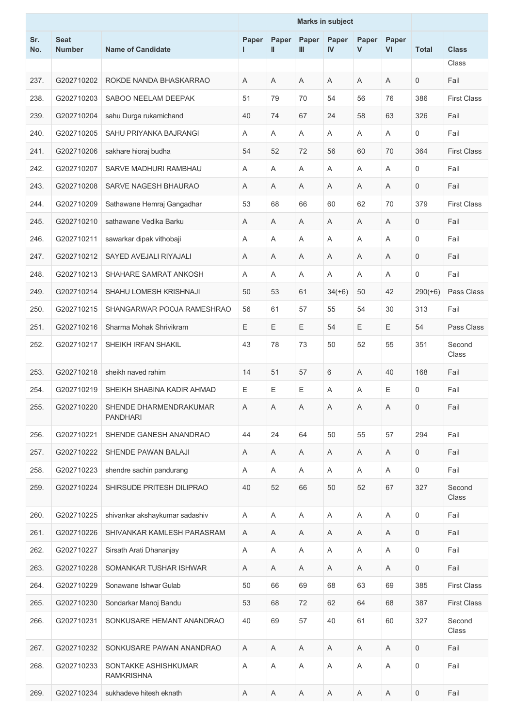|            |                              |                                           | <b>Marks in subject</b> |             |                           |                       |            |                           |                     |                    |
|------------|------------------------------|-------------------------------------------|-------------------------|-------------|---------------------------|-----------------------|------------|---------------------------|---------------------|--------------------|
| Sr.<br>No. | <b>Seat</b><br><b>Number</b> | <b>Name of Candidate</b>                  | Paper<br>L.             | Paper<br>Ш  | Paper<br>Ш                | Paper<br>$\mathbf{N}$ | Paper<br>V | Paper<br><b>VI</b>        | <b>Total</b>        | <b>Class</b>       |
|            |                              |                                           |                         |             |                           |                       |            |                           |                     | Class              |
| 237.       | G202710202                   | ROKDE NANDA BHASKARRAO                    | A                       | A           | A                         | A                     | Α          | A                         | $\mathbf 0$         | Fail               |
| 238.       | G202710203                   | SABOO NEELAM DEEPAK                       | 51                      | 79          | 70                        | 54                    | 56         | 76                        | 386                 | <b>First Class</b> |
| 239.       | G202710204                   | sahu Durga rukamichand                    | 40                      | 74          | 67                        | 24                    | 58         | 63                        | 326                 | Fail               |
| 240.       | G202710205                   | SAHU PRIYANKA BAJRANGI                    | A                       | Α           | A                         | A                     | A          | A                         | 0                   | Fail               |
| 241.       | G202710206                   | sakhare hioraj budha                      | 54                      | 52          | 72                        | 56                    | 60         | 70                        | 364                 | <b>First Class</b> |
| 242.       | G202710207                   | SARVE MADHURI RAMBHAU                     | A                       | A           | A                         | A                     | A          | A                         | 0                   | Fail               |
| 243.       | G202710208                   | SARVE NAGESH BHAURAO                      | A                       | Α           | A                         | A                     | Α          | A                         | 0                   | Fail               |
| 244.       | G202710209                   | Sathawane Hemraj Gangadhar                | 53                      | 68          | 66                        | 60                    | 62         | 70                        | 379                 | <b>First Class</b> |
| 245.       | G202710210                   | sathawane Vedika Barku                    | A                       | Α           | A                         | A                     | A          | A                         | $\mathbf 0$         | Fail               |
| 246.       | G202710211                   | sawarkar dipak vithobaji                  | Α                       | Α           | A                         | Α                     | Α          | A                         | 0                   | Fail               |
| 247.       | G202710212                   | SAYED AVEJALI RIYAJALI                    | A                       | A           | A                         | A                     | Α          | A                         | $\mathbf 0$         | Fail               |
| 248.       | G202710213                   | SHAHARE SAMRAT ANKOSH                     | A                       | A           | A                         | A                     | Α          | A                         | 0                   | Fail               |
| 249.       | G202710214                   | SHAHU LOMESH KRISHNAJI                    | 50                      | 53          | 61                        | $34(+6)$              | 50         | 42                        | $290(+6)$           | Pass Class         |
| 250.       | G202710215                   | SHANGARWAR POOJA RAMESHRAO                | 56                      | 61          | 57                        | 55                    | 54         | 30                        | 313                 | Fail               |
| 251.       | G202710216                   | Sharma Mohak Shrivikram                   | E                       | Е           | Ε                         | 54                    | E          | Е                         | 54                  | Pass Class         |
| 252.       | G202710217                   | SHEIKH IRFAN SHAKIL                       | 43                      | 78          | 73                        | 50                    | 52         | 55                        | 351                 | Second<br>Class    |
| 253.       | G202710218                   | sheikh naved rahim                        | 14                      | 51          | 57                        | 6                     | Α          | 40                        | 168                 | Fail               |
| 254.       | G202710219                   | SHEIKH SHABINA KADIR AHMAD                | E                       | Е           | Ε                         | A                     | Α          | Ε                         | 0                   | Fail               |
| 255.       | G202710220                   | SHENDE DHARMENDRAKUMAR<br><b>PANDHARI</b> | Α                       | Α           | A                         | Α                     | Α          | Α                         | 0                   | Fail               |
| 256.       | G202710221                   | SHENDE GANESH ANANDRAO                    | 44                      | 24          | 64                        | 50                    | 55         | 57                        | 294                 | Fail               |
| 257.       | G202710222                   | SHENDE PAWAN BALAJI                       | Α                       | Α           | A                         | A                     | A          | Α                         | 0                   | Fail               |
| 258.       | G202710223                   | shendre sachin pandurang                  | A                       | Α           | Α                         | A                     | A          | $\boldsymbol{\mathsf{A}}$ | 0                   | Fail               |
| 259.       | G202710224                   | SHIRSUDE PRITESH DILIPRAO                 | 40                      | 52          | 66                        | 50                    | 52         | 67                        | 327                 | Second<br>Class    |
| 260.       | G202710225                   | shivankar akshaykumar sadashiv            | A                       | Α           | $\boldsymbol{\mathsf{A}}$ | A                     | Α          | A                         | 0                   | Fail               |
| 261.       | G202710226                   | SHIVANKAR KAMLESH PARASRAM                | A                       | A           | Α                         | A                     | A          | $\boldsymbol{\mathsf{A}}$ | 0                   | Fail               |
| 262.       | G202710227                   | Sirsath Arati Dhananjay                   | A                       | A           | A                         | A                     | A          | A                         | 0                   | Fail               |
| 263.       | G202710228                   | SOMANKAR TUSHAR ISHWAR                    | A                       | Α           | Α                         | A                     | A          | A                         | 0                   | Fail               |
| 264.       | G202710229                   | Sonawane Ishwar Gulab                     | 50                      | 66          | 69                        | 68                    | 63         | 69                        | 385                 | <b>First Class</b> |
| 265.       | G202710230                   | Sondarkar Manoj Bandu                     | 53                      | 68          | 72                        | 62                    | 64         | 68                        | 387                 | <b>First Class</b> |
| 266.       | G202710231                   | SONKUSARE HEMANT ANANDRAO                 | 40                      | 69          | 57                        | 40                    | 61         | 60                        | 327                 | Second<br>Class    |
| 267.       | G202710232                   | SONKUSARE PAWAN ANANDRAO                  | Α                       | A           | Α                         | A                     | A          | Α                         | 0                   | Fail               |
| 268.       | G202710233                   | SONTAKKE ASHISHKUMAR<br><b>RAMKRISHNA</b> | Α                       | Α           | A                         | Α                     | Α          | Α                         | $\mathsf 0$         | Fail               |
| 269.       | G202710234                   | sukhadeve hitesh eknath                   | $\mathsf A$             | $\mathsf A$ | $\boldsymbol{\mathsf{A}}$ | A                     | A          | $\mathsf A$               | $\mathsf{O}\xspace$ | Fail               |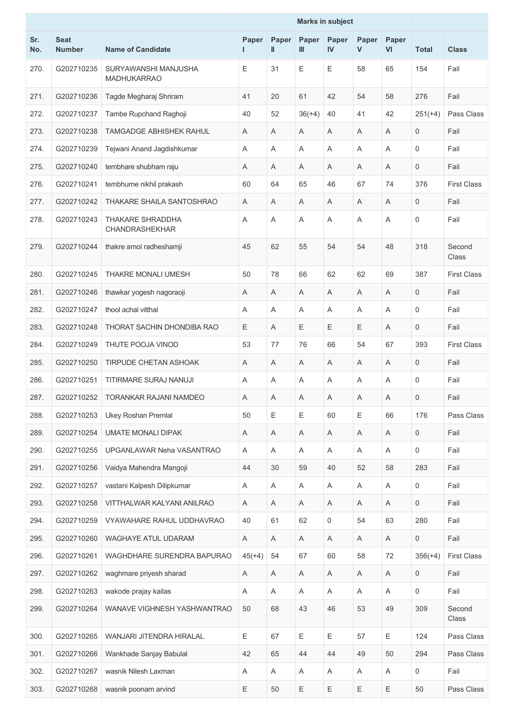|            |                              |                                           | <b>Marks in subject</b> |                       |                       |             |            |             |              |                    |  |  |
|------------|------------------------------|-------------------------------------------|-------------------------|-----------------------|-----------------------|-------------|------------|-------------|--------------|--------------------|--|--|
| Sr.<br>No. | <b>Seat</b><br><b>Number</b> | <b>Name of Candidate</b>                  | Paper<br>L              | Paper<br>$\mathbf{I}$ | Paper<br>$\mathbf{m}$ | Paper<br>IV | Paper<br>V | Paper<br>VI | <b>Total</b> | <b>Class</b>       |  |  |
| 270.       | G202710235                   | SURYAWANSHI MANJUSHA<br>MADHUKARRAO       | Е                       | 31                    | E                     | E           | 58         | 65          | 154          | Fail               |  |  |
| 271.       | G202710236                   | Tagde Megharaj Shriram                    | 41                      | 20                    | 61                    | 42          | 54         | 58          | 276          | Fail               |  |  |
| 272.       | G202710237                   | Tambe Rupchand Raghoji                    | 40                      | 52                    | $36(+4)$              | 40          | 41         | 42          | $251(+4)$    | Pass Class         |  |  |
| 273.       | G202710238                   | <b>TAMGADGE ABHISHEK RAHUL</b>            | Α                       | A                     | A                     | Α           | Α          | A           | $\mathbf 0$  | Fail               |  |  |
| 274.       | G202710239                   | Tejwani Anand Jagdishkumar                | A                       | A                     | A                     | Α           | Α          | A           | $\mathbf 0$  | Fail               |  |  |
| 275.       | G202710240                   | tembhare shubham raju                     | A                       | Α                     | A                     | Α           | Α          | A           | $\mathbf 0$  | Fail               |  |  |
| 276.       | G202710241                   | tembhurne nikhil prakash                  | 60                      | 64                    | 65                    | 46          | 67         | 74          | 376          | <b>First Class</b> |  |  |
| 277.       | G202710242                   | THAKARE SHAILA SANTOSHRAO                 | A                       | A                     | A                     | Α           | Α          | A           | 0            | Fail               |  |  |
| 278.       | G202710243                   | THAKARE SHRADDHA<br><b>CHANDRASHEKHAR</b> | Α                       | Α                     | A                     | Α           | Α          | A           | $\mathbf 0$  | Fail               |  |  |
| 279.       | G202710244                   | thakre amol radheshamji                   | 45                      | 62                    | 55                    | 54          | 54         | 48          | 318          | Second<br>Class    |  |  |
| 280.       | G202710245                   | THAKRE MONALI UMESH                       | 50                      | 78                    | 66                    | 62          | 62         | 69          | 387          | <b>First Class</b> |  |  |
| 281.       | G202710246                   | thawkar yogesh nagoraoji                  | Α                       | A                     | A                     | Α           | Α          | A           | $\mathbf 0$  | Fail               |  |  |
| 282.       | G202710247                   | thool achal vitthal                       | A                       | A                     | A                     | Α           | Α          | A           | $\mathbf 0$  | Fail               |  |  |
| 283.       | G202710248                   | THORAT SACHIN DHONDIBA RAO                | Е                       | A                     | $\mathsf E$           | Е           | Е          | A           | $\mathbf 0$  | Fail               |  |  |
| 284.       | G202710249                   | THUTE POOJA VINOD                         | 53                      | 77                    | 76                    | 66          | 54         | 67          | 393          | <b>First Class</b> |  |  |
| 285.       | G202710250                   | <b>TIRPUDE CHETAN ASHOAK</b>              | A                       | A                     | A                     | Α           | Α          | A           | 0            | Fail               |  |  |
| 286.       | G202710251                   | TITIRMARE SURAJ NANUJI                    | Α                       | A                     | Α                     | Α           | Α          | Α           | 0            | Fail               |  |  |
| 287.       | G202710252                   | TORANKAR RAJANI NAMDEO                    | Α                       | Α                     | Α                     | Α           | Α          | Α           | $\mathsf 0$  | Fail               |  |  |
| 288.       | G202710253                   | <b>Ukey Roshan Premlal</b>                | 50                      | Ε                     | $\mathsf E$           | 60          | Е          | 66          | 176          | Pass Class         |  |  |
| 289.       | G202710254                   | UMATE MONALI DIPAK                        | Α                       | A                     | Α                     | A           | Α          | A           | $\mathsf{O}$ | Fail               |  |  |
| 290.       | G202710255                   | UPGANLAWAR Neha VASANTRAO                 | A                       | A                     | A                     | A           | A          | A           | $\mathbf 0$  | Fail               |  |  |
| 291.       | G202710256                   | Vaidya Mahendra Mangoji                   | 44                      | 30                    | 59                    | 40          | 52         | 58          | 283          | Fail               |  |  |
| 292.       | G202710257                   | vastani Kalpesh Dilipkumar                | Α                       | Α                     | A                     | Α           | Α          | A           | $\mathsf{O}$ | Fail               |  |  |
| 293.       | G202710258                   | VITTHALWAR KALYANI ANILRAO                | Α                       | A                     | A                     | $\mathsf A$ | Α          | Α           | $\mathbf 0$  | Fail               |  |  |
| 294.       | G202710259                   | VYAWAHARE RAHUL UDDHAVRAO                 | 40                      | 61                    | 62                    | 0           | 54         | 63          | 280          | Fail               |  |  |
| 295.       | G202710260                   | <b>WAGHAYE ATUL UDARAM</b>                | A                       | Α                     | A                     | A           | Α          | A           | $\mathsf{O}$ | Fail               |  |  |
| 296.       | G202710261                   | WAGHDHARE SURENDRA BAPURAO                | $45(+4)$                | 54                    | 67                    | 60          | 58         | 72          | $356(+4)$    | <b>First Class</b> |  |  |
| 297.       | G202710262                   | waghmare priyesh sharad                   | Α                       | Α                     | A                     | A           | Α          | Α           | $\mathsf{O}$ | Fail               |  |  |
| 298.       | G202710263                   | wakode prajay kailas                      | Α                       | Α                     | A                     | Α           | Α          | A           | $\mathbf 0$  | Fail               |  |  |
| 299.       | G202710264                   | WANAVE VIGHNESH YASHWANTRAO               | 50                      | 68                    | 43                    | 46          | 53         | 49          | 309          | Second<br>Class    |  |  |
| 300.       | G202710265                   | WANJARI JITENDRA HIRALAL                  | E                       | 67                    | $\mathsf E$           | Ε           | 57         | E           | 124          | Pass Class         |  |  |
| 301.       | G202710266                   | Wankhade Sanjay Babulal                   | 42                      | 65                    | 44                    | 44          | 49         | 50          | 294          | Pass Class         |  |  |
| 302.       | G202710267                   | wasnik Nilesh Laxman                      | Α                       | Α                     | A                     | A           | Α          | A           | $\mathsf{O}$ | Fail               |  |  |
| 303.       | G202710268                   | wasnik poonam arvind                      | Ε                       | 50                    | $\mathsf E$           | Ε           | Ε          | E           | 50           | Pass Class         |  |  |